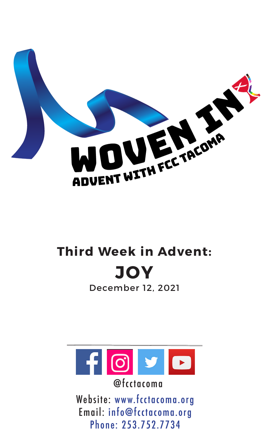

# **Third Week in Advent: JOY**

December 12, 2021



@fcctacoma

Website: www.fcctacoma.org Email: info@fcctacoma.org Phone: 253.752.7734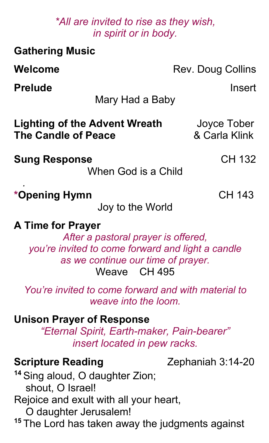### *\*All are invited to rise as they wish, in spirit or in body.*

| <b>Gathering Music</b>                                                                                                                                                                                                       |                              |
|------------------------------------------------------------------------------------------------------------------------------------------------------------------------------------------------------------------------------|------------------------------|
| Welcome                                                                                                                                                                                                                      | Rev. Doug Collins            |
| <b>Prelude</b><br>Mary Had a Baby                                                                                                                                                                                            | Insert                       |
| <b>Lighting of the Advent Wreath</b><br><b>The Candle of Peace</b>                                                                                                                                                           | Joyce Tober<br>& Carla Klink |
| <b>Sung Response</b><br>When God is a Child                                                                                                                                                                                  | CH 132                       |
| *Opening Hymn<br>Joy to the World                                                                                                                                                                                            | <b>CH 143</b>                |
| <b>A Time for Prayer</b><br>After a pastoral prayer is offered,<br>you're invited to come forward and light a candle<br>as we continue our time of prayer.<br>Weave CH 495                                                   |                              |
| You're invited to come forward and with material to<br>weave into the loom.                                                                                                                                                  |                              |
| <b>Unison Prayer of Response</b><br>"Eternal Spirit, Earth-maker, Pain-bearer"<br>insert located in pew racks.                                                                                                               |                              |
| <b>Scripture Reading</b><br><sup>14</sup> Sing aloud, O daughter Zion;<br>shout, O Israel!<br>Rejoice and exult with all your heart,<br>O daughter Jerusalem!<br><sup>15</sup> The Lord has taken away the judgments against | Zephaniah 3:14-20            |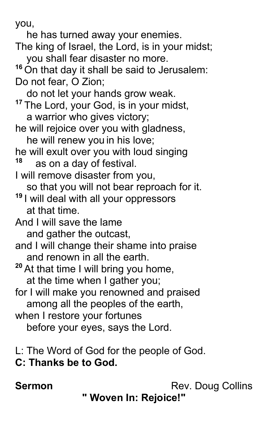you,

- he has turned away your enemies. The king of Israel, the Lord, is in your midst; you shall fear disaster no more. <sup>16</sup> On that day it shall be said to Jerusalem: Do not fear, O Zion; do not let your hands grow weak. **<sup>17</sup>** The Lord, your God, is in your midst, a warrior who gives victory; he will rejoice over you with gladness, he will renew you in his love; he will exult over you with loud singing **<sup>18</sup>** as on a day of festival. I will remove disaster from you, so that you will not bear reproach for it. **<sup>19</sup>** I will deal with all your oppressors at that time. And I will save the lame and gather the outcast, and I will change their shame into praise and renown in all the earth. **<sup>20</sup>** At that time I will bring you home, at the time when I gather you; for I will make you renowned and praised among all the peoples of the earth, when I restore your fortunes before your eyes, says the Lord.
- L: The Word of God for the people of God.

### **C: Thanks be to God.**

**Sermon** Rev. Doug Collins

**" Woven In: Rejoice!"**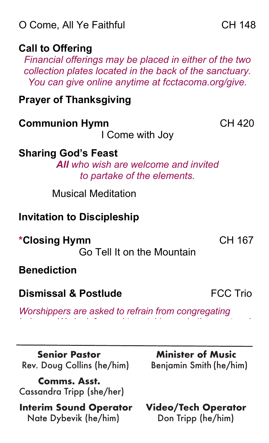# **Call to Offering**

*Financial offerings may be placed in either of the two collection plates located in the back of the sanctuary. You can give online anytime at fcctacoma.org/give.*

# **Prayer of Thanksgiving**

# **Communion Hymn** CH 420

I Come with Joy

# **Sharing God's Feast**

*All who wish are welcome and invited to partake of the elements.*

Musical Meditation

# **Invitation to Discipleship**

**\*Closing Hymn CH 167** 

Go Tell It on the Mountain

# **Benediction**

# **Dismissal & Postlude CONFING TRIOT** FCC Trio

*Worshippers are asked to refrain from congregating indoors. We look forward to catching up in the courtyard.*

 **Senior Pastor Minister of Music** Rev. Doug Collins (he/him) Benjamin Smith (he/him)

 **Comms. Asst.**  Cassandra Tripp (she/her)

 **Interim Sound Operator Video/Tech Operator** Nate Dybevik (he/him) Don Tripp (he/him)